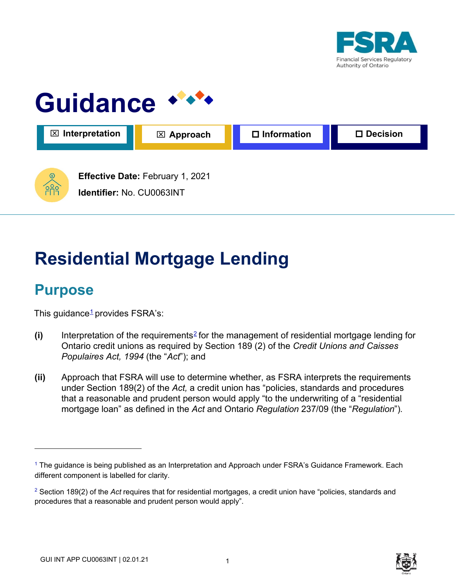



# **Residential Mortgage Lending**

# **Purpose**

This guidance $1$  provides FSRA's:

- **(i)** Interpretation of the requirements2 for the management of residential mortgage lending for Ontario credit unions as required by Section 189 (2) of the *Credit Unions and Caisses Populaires Act, 1994* (the "*Act*"); and
- **(ii)** Approach that FSRA will use to determine whether, as FSRA interprets the requirements under Section 189(2) of the *Act,* a credit union has "policies, standards and procedures that a reasonable and prudent person would apply "to the underwriting of a "residential mortgage loan" as defined in the *Act* and Ontario *Regulation* 237/09 (the "*Regulation*")*.*



<sup>&</sup>lt;sup>1</sup> The guidance is being published as an Interpretation and Approach under FSRA's Guidance Framework. Each different component is labelled for clarity.

<sup>2</sup> Section 189(2) of the *Act* requires that for residential mortgages, a credit union have "policies, standards and procedures that a reasonable and prudent person would apply".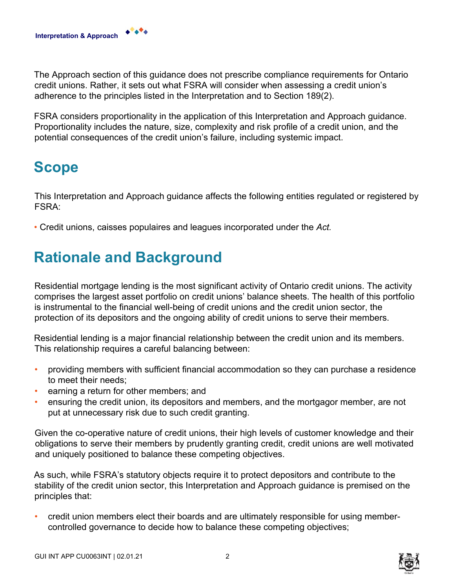The Approach section of this guidance does not prescribe compliance requirements for Ontario credit unions. Rather, it sets out what FSRA will consider when assessing a credit union's adherence to the principles listed in the Interpretation and to Section 189(2).

FSRA considers proportionality in the application of this Interpretation and Approach guidance. Proportionality includes the nature, size, complexity and risk profile of a credit union, and the potential consequences of the credit union's failure, including systemic impact.

# **Scope**

This Interpretation and Approach guidance affects the following entities regulated or registered by FSRA:

• Credit unions, caisses populaires and leagues incorporated under the *Act.* 

# **Rationale and Background**

Residential mortgage lending is the most significant activity of Ontario credit unions. The activity comprises the largest asset portfolio on credit unions' balance sheets. The health of this portfolio is instrumental to the financial well-being of credit unions and the credit union sector, the protection of its depositors and the ongoing ability of credit unions to serve their members.

Residential lending is a major financial relationship between the credit union and its members. This relationship requires a careful balancing between:

- providing members with sufficient financial accommodation so they can purchase a residence to meet their needs;
- earning a return for other members; and
- ensuring the credit union, its depositors and members, and the mortgagor member, are not put at unnecessary risk due to such credit granting.

Given the co-operative nature of credit unions, their high levels of customer knowledge and their obligations to serve their members by prudently granting credit, credit unions are well motivated and uniquely positioned to balance these competing objectives.

As such, while FSRA's statutory objects require it to protect depositors and contribute to the stability of the credit union sector, this Interpretation and Approach guidance is premised on the principles that:

• credit union members elect their boards and are ultimately responsible for using membercontrolled governance to decide how to balance these competing objectives;

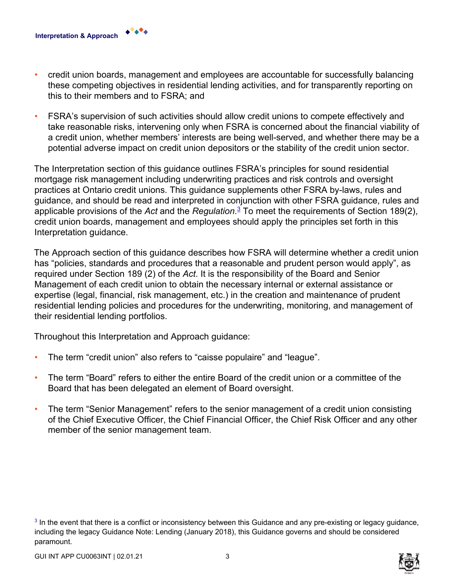

• FSRA's supervision of such activities should allow credit unions to compete effectively and take reasonable risks, intervening only when FSRA is concerned about the financial viability of a credit union, whether members' interests are being well-served, and whether there may be a potential adverse impact on credit union depositors or the stability of the credit union sector.

The Interpretation section of this guidance outlines FSRA's principles for sound residential mortgage risk management including underwriting practices and risk controls and oversight practices at Ontario credit unions. This guidance supplements other FSRA by-laws, rules and guidance, and should be read and interpreted in conjunction with other FSRA guidance, rules and applicable provisions of the *Act* and the *Regulation*. <sup>3</sup> To meet the requirements of Section 189(2), credit union boards, management and employees should apply the principles set forth in this Interpretation guidance.

The Approach section of this guidance describes how FSRA will determine whether a credit union has "policies, standards and procedures that a reasonable and prudent person would apply", as required under Section 189 (2) of the *Act*. It is the responsibility of the Board and Senior Management of each credit union to obtain the necessary internal or external assistance or expertise (legal, financial, risk management, etc.) in the creation and maintenance of prudent residential lending policies and procedures for the underwriting, monitoring, and management of their residential lending portfolios.

Throughout this Interpretation and Approach guidance:

- The term "credit union" also refers to "caisse populaire" and "league".
- The term "Board" refers to either the entire Board of the credit union or a committee of the Board that has been delegated an element of Board oversight.
- The term "Senior Management" refers to the senior management of a credit union consisting of the Chief Executive Officer, the Chief Financial Officer, the Chief Risk Officer and any other member of the senior management team.

**Interpretation & Approach**



 $3$  In the event that there is a conflict or inconsistency between this Guidance and any pre-existing or legacy guidance, including the legacy Guidance Note: Lending (January 2018), this Guidance governs and should be considered paramount.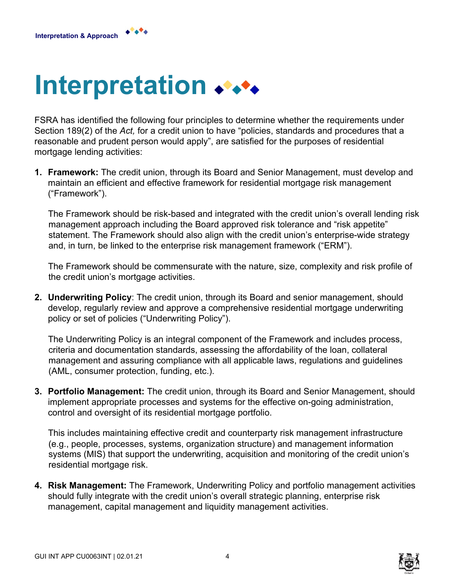**Interpretation & Approach**

# <span id="page-3-0"></span>**Interpretation**

FSRA has identified the following four principles to determine whether the requirements under Section 189(2) of the *Act,* for a credit union to have "policies, standards and procedures that a reasonable and prudent person would apply", are satisfied for the purposes of residential mortgage lending activities:

**1. Framework:** The credit union, through its Board and Senior Management, must develop and maintain an efficient and effective framework for residential mortgage risk management ("Framework").

The Framework should be risk-based and integrated with the credit union's overall lending risk management approach including the Board approved risk tolerance and "risk appetite" statement. The Framework should also align with the credit union's enterprise-wide strategy and, in turn, be linked to the enterprise risk management framework ("ERM").

The Framework should be commensurate with the nature, size, complexity and risk profile of the credit union's mortgage activities.

**2. Underwriting Policy**: The credit union, through its Board and senior management, should develop, regularly review and approve a comprehensive residential mortgage underwriting policy or set of policies ("Underwriting Policy").

The Underwriting Policy is an integral component of the Framework and includes process, criteria and documentation standards, assessing the affordability of the loan, collateral management and assuring compliance with all applicable laws, regulations and guidelines (AML, consumer protection, funding, etc.).

**3. Portfolio Management:** The credit union, through its Board and Senior Management, should implement appropriate processes and systems for the effective on-going administration, control and oversight of its residential mortgage portfolio.

This includes maintaining effective credit and counterparty risk management infrastructure (e.g., people, processes, systems, organization structure) and management information systems (MIS) that support the underwriting, acquisition and monitoring of the credit union's residential mortgage risk.

**4. Risk Management:** The Framework, Underwriting Policy and portfolio management activities should fully integrate with the credit union's overall strategic planning, enterprise risk management, capital management and liquidity management activities.

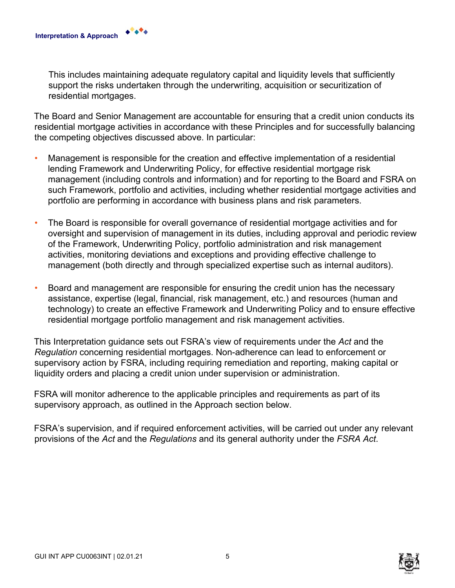This includes maintaining adequate regulatory capital and liquidity levels that sufficiently support the risks undertaken through the underwriting, acquisition or securitization of residential mortgages.

The Board and Senior Management are accountable for ensuring that a credit union conducts its residential mortgage activities in accordance with these Principles and for successfully balancing the competing objectives discussed above. In particular:

- Management is responsible for the creation and effective implementation of a residential lending Framework and Underwriting Policy, for effective residential mortgage risk management (including controls and information) and for reporting to the Board and FSRA on such Framework, portfolio and activities, including whether residential mortgage activities and portfolio are performing in accordance with business plans and risk parameters.
- The Board is responsible for overall governance of residential mortgage activities and for oversight and supervision of management in its duties, including approval and periodic review of the Framework, Underwriting Policy, portfolio administration and risk management activities, monitoring deviations and exceptions and providing effective challenge to management (both directly and through specialized expertise such as internal auditors).
- Board and management are responsible for ensuring the credit union has the necessary assistance, expertise (legal, financial, risk management, etc.) and resources (human and technology) to create an effective Framework and Underwriting Policy and to ensure effective residential mortgage portfolio management and risk management activities.

This Interpretation guidance sets out FSRA's view of requirements under the *Act* and the *Regulation* concerning residential mortgages. Non-adherence can lead to enforcement or supervisory action by FSRA, including requiring remediation and reporting, making capital or liquidity orders and placing a credit union under supervision or administration.

FSRA will monitor adherence to the applicable principles and requirements as part of its supervisory approach, as outlined in the Approach section below.

FSRA's supervision, and if required enforcement activities, will be carried out under any relevant provisions of the *Act* and the *Regulations* and its general authority under the *FSRA Act*.



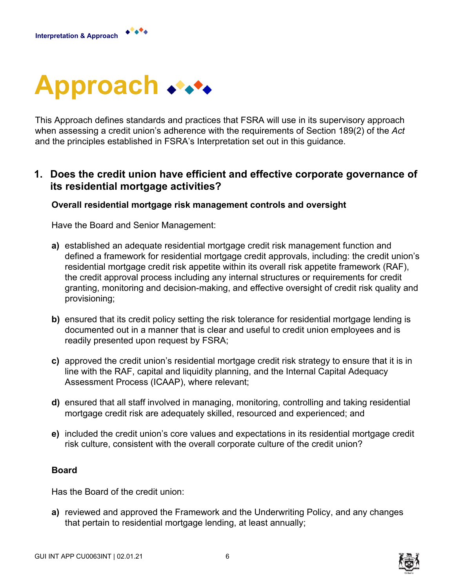

<span id="page-5-0"></span>

This Approach defines standards and practices that FSRA will use in its supervisory approach when assessing a credit union's adherence with the requirements of Section 189(2) of the *Act*  and the principles established in FSRA's Interpretation set out in this guidance.

## **1. Does the credit union have efficient and effective corporate governance of its residential mortgage activities?**

#### **Overall residential mortgage risk management controls and oversight**

Have the Board and Senior Management:

- **a)** established an adequate residential mortgage credit risk management function and defined a framework for residential mortgage credit approvals, including: the credit union's residential mortgage credit risk appetite within its overall risk appetite framework (RAF), the credit approval process including any internal structures or requirements for credit granting, monitoring and decision-making, and effective oversight of credit risk quality and provisioning;
- **b)** ensured that its credit policy setting the risk tolerance for residential mortgage lending is documented out in a manner that is clear and useful to credit union employees and is readily presented upon request by FSRA;
- **c)** approved the credit union's residential mortgage credit risk strategy to ensure that it is in line with the RAF, capital and liquidity planning, and the Internal Capital Adequacy Assessment Process (ICAAP), where relevant;
- **d)** ensured that all staff involved in managing, monitoring, controlling and taking residential mortgage credit risk are adequately skilled, resourced and experienced; and
- **e)** included the credit union's core values and expectations in its residential mortgage credit risk culture, consistent with the overall corporate culture of the credit union?

#### **Board**

Has the Board of the credit union:

**a)** reviewed and approved the Framework and the Underwriting Policy, and any changes that pertain to residential mortgage lending, at least annually;

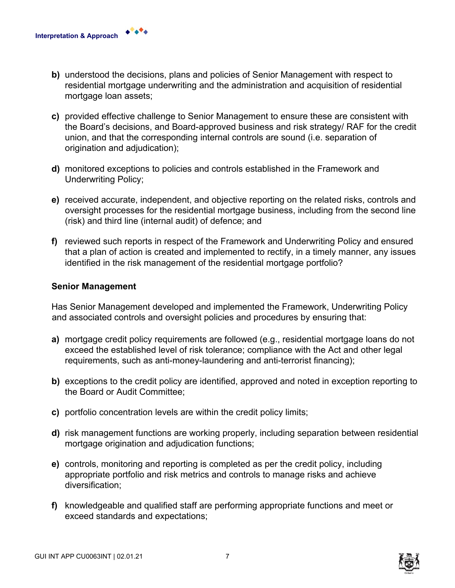- **b)** understood the decisions, plans and policies of Senior Management with respect to residential mortgage underwriting and the administration and acquisition of residential mortgage loan assets;
- **c)** provided effective challenge to Senior Management to ensure these are consistent with the Board's decisions, and Board-approved business and risk strategy/ RAF for the credit union, and that the corresponding internal controls are sound (i.e. separation of origination and adjudication);
- **d)** monitored exceptions to policies and controls established in the Framework and Underwriting Policy;
- **e)** received accurate, independent, and objective reporting on the related risks, controls and oversight processes for the residential mortgage business, including from the second line (risk) and third line (internal audit) of defence; and
- **f)** reviewed such reports in respect of the Framework and Underwriting Policy and ensured that a plan of action is created and implemented to rectify, in a timely manner, any issues identified in the risk management of the residential mortgage portfolio?

#### **Senior Management**

**Interpretation & Approach**

Has Senior Management developed and implemented the Framework, Underwriting Policy and associated controls and oversight policies and procedures by ensuring that:

- **a)** mortgage credit policy requirements are followed (e.g., residential mortgage loans do not exceed the established level of risk tolerance; compliance with the Act and other legal requirements, such as anti-money-laundering and anti-terrorist financing);
- **b)** exceptions to the credit policy are identified, approved and noted in exception reporting to the Board or Audit Committee;
- **c)** portfolio concentration levels are within the credit policy limits;
- **d)** risk management functions are working properly, including separation between residential mortgage origination and adjudication functions;
- **e)** controls, monitoring and reporting is completed as per the credit policy, including appropriate portfolio and risk metrics and controls to manage risks and achieve diversification;
- **f)** knowledgeable and qualified staff are performing appropriate functions and meet or exceed standards and expectations;

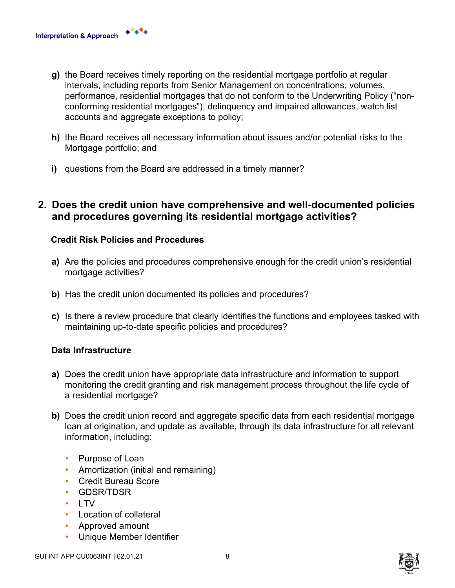- **g)** the Board receives timely reporting on the residential mortgage portfolio at regular intervals, including reports from Senior Management on concentrations, volumes, performance, residential mortgages that do not conform to the Underwriting Policy ("nonconforming residential mortgages"), delinquency and impaired allowances, watch list accounts and aggregate exceptions to policy;
- **h)** the Board receives all necessary information about issues and/or potential risks to the Mortgage portfolio; and
- **i)** questions from the Board are addressed in a timely manner?

## **2. Does the credit union have comprehensive and well-documented policies and procedures governing its residential mortgage activities?**

#### **Credit Risk Policies and Procedures**

- **a)** Are the policies and procedures comprehensive enough for the credit union's residential mortgage activities?
- **b)** Has the credit union documented its policies and procedures?
- **c)** Is there a review procedure that clearly identifies the functions and employees tasked with maintaining up-to-date specific policies and procedures?

#### **Data Infrastructure**

**Interpretation & Approach**

- **a)** Does the credit union have appropriate data infrastructure and information to support monitoring the credit granting and risk management process throughout the life cycle of a residential mortgage?
- **b)** Does the credit union record and aggregate specific data from each residential mortgage loan at origination, and update as available, through its data infrastructure for all relevant information, including:
	- Purpose of Loan
	- Amortization (initial and remaining)
	- Credit Bureau Score
	- GDSR/TDSR
	- LTV
	- Location of collateral
	- Approved amount
	- Unique Member Identifier

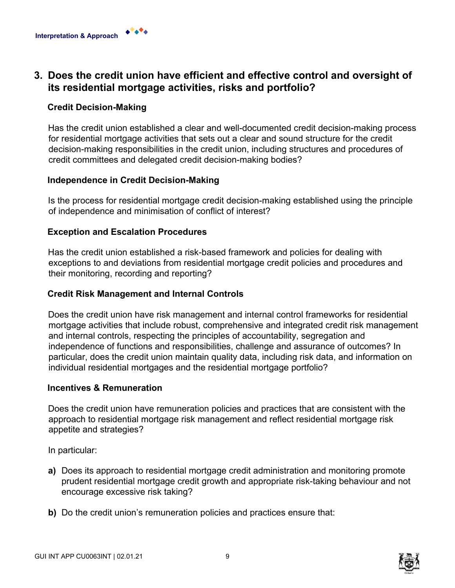

## **3. Does the credit union have efficient and effective control and oversight of its residential mortgage activities, risks and portfolio?**

## **Credit Decision-Making**

Has the credit union established a clear and well-documented credit decision-making process for residential mortgage activities that sets out a clear and sound structure for the credit decision-making responsibilities in the credit union, including structures and procedures of credit committees and delegated credit decision-making bodies?

#### **Independence in Credit Decision-Making**

Is the process for residential mortgage credit decision-making established using the principle of independence and minimisation of conflict of interest?

## **Exception and Escalation Procedures**

Has the credit union established a risk-based framework and policies for dealing with exceptions to and deviations from residential mortgage credit policies and procedures and their monitoring, recording and reporting?

#### **Credit Risk Management and Internal Controls**

Does the credit union have risk management and internal control frameworks for residential mortgage activities that include robust, comprehensive and integrated credit risk management and internal controls, respecting the principles of accountability, segregation and independence of functions and responsibilities, challenge and assurance of outcomes? In particular, does the credit union maintain quality data, including risk data, and information on individual residential mortgages and the residential mortgage portfolio?

#### **Incentives & Remuneration**

Does the credit union have remuneration policies and practices that are consistent with the approach to residential mortgage risk management and reflect residential mortgage risk appetite and strategies?

In particular:

- **a)** Does its approach to residential mortgage credit administration and monitoring promote prudent residential mortgage credit growth and appropriate risk-taking behaviour and not encourage excessive risk taking?
- **b)** Do the credit union's remuneration policies and practices ensure that:

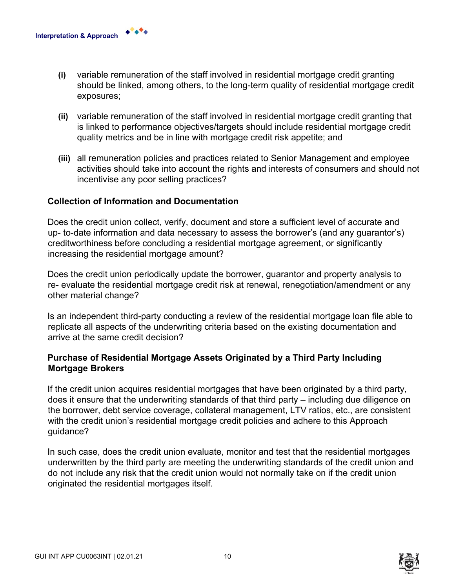- **(i)** variable remuneration of the staff involved in residential mortgage credit granting should be linked, among others, to the long-term quality of residential mortgage credit exposures;
- **(ii)** variable remuneration of the staff involved in residential mortgage credit granting that is linked to performance objectives/targets should include residential mortgage credit quality metrics and be in line with mortgage credit risk appetite; and
- **(iii)** all remuneration policies and practices related to Senior Management and employee activities should take into account the rights and interests of consumers and should not incentivise any poor selling practices?

#### **Collection of Information and Documentation**

Does the credit union collect, verify, document and store a sufficient level of accurate and up- to-date information and data necessary to assess the borrower's (and any guarantor's) creditworthiness before concluding a residential mortgage agreement, or significantly increasing the residential mortgage amount?

Does the credit union periodically update the borrower, guarantor and property analysis to re- evaluate the residential mortgage credit risk at renewal, renegotiation/amendment or any other material change?

Is an independent third-party conducting a review of the residential mortgage loan file able to replicate all aspects of the underwriting criteria based on the existing documentation and arrive at the same credit decision?

## **Purchase of Residential Mortgage Assets Originated by a Third Party Including Mortgage Brokers**

If the credit union acquires residential mortgages that have been originated by a third party, does it ensure that the underwriting standards of that third party – including due diligence on the borrower, debt service coverage, collateral management, LTV ratios, etc., are consistent with the credit union's residential mortgage credit policies and adhere to this Approach guidance?

In such case, does the credit union evaluate, monitor and test that the residential mortgages underwritten by the third party are meeting the underwriting standards of the credit union and do not include any risk that the credit union would not normally take on if the credit union originated the residential mortgages itself.

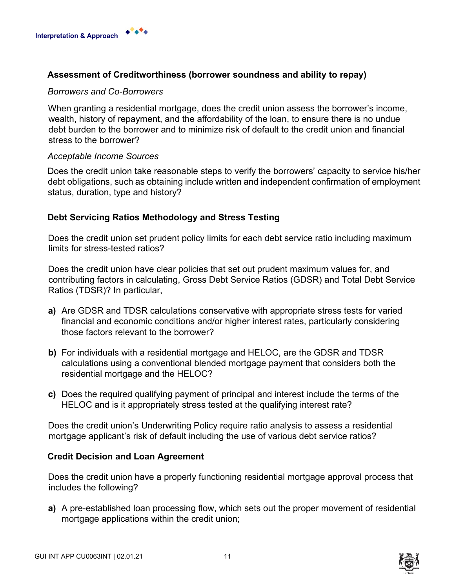

#### **Assessment of Creditworthiness (borrower soundness and ability to repay)**

#### *Borrowers and Co-Borrowers*

When granting a residential mortgage, does the credit union assess the borrower's income, wealth, history of repayment, and the affordability of the loan, to ensure there is no undue debt burden to the borrower and to minimize risk of default to the credit union and financial stress to the borrower?

#### *Acceptable Income Sources*

Does the credit union take reasonable steps to verify the borrowers' capacity to service his/her debt obligations, such as obtaining include written and independent confirmation of employment status, duration, type and history?

#### **Debt Servicing Ratios Methodology and Stress Testing**

Does the credit union set prudent policy limits for each debt service ratio including maximum limits for stress-tested ratios?

Does the credit union have clear policies that set out prudent maximum values for, and contributing factors in calculating, Gross Debt Service Ratios (GDSR) and Total Debt Service Ratios (TDSR)? In particular,

- **a)** Are GDSR and TDSR calculations conservative with appropriate stress tests for varied financial and economic conditions and/or higher interest rates, particularly considering those factors relevant to the borrower?
- **b)** For individuals with a residential mortgage and HELOC, are the GDSR and TDSR calculations using a conventional blended mortgage payment that considers both the residential mortgage and the HELOC?
- **c)** Does the required qualifying payment of principal and interest include the terms of the HELOC and is it appropriately stress tested at the qualifying interest rate?

Does the credit union's Underwriting Policy require ratio analysis to assess a residential mortgage applicant's risk of default including the use of various debt service ratios?

#### **Credit Decision and Loan Agreement**

Does the credit union have a properly functioning residential mortgage approval process that includes the following?

**a)** A pre-established loan processing flow, which sets out the proper movement of residential mortgage applications within the credit union;

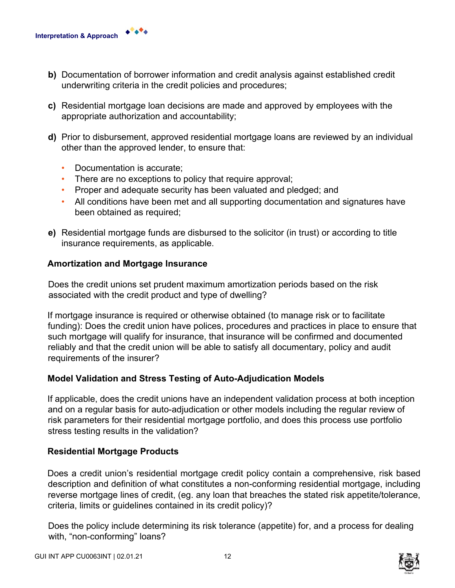- **b)** Documentation of borrower information and credit analysis against established credit underwriting criteria in the credit policies and procedures;
- **c)** Residential mortgage loan decisions are made and approved by employees with the appropriate authorization and accountability;
- **d)** Prior to disbursement, approved residential mortgage loans are reviewed by an individual other than the approved lender, to ensure that:
	- Documentation is accurate;
	- There are no exceptions to policy that require approval;
	- Proper and adequate security has been valuated and pledged; and
	- All conditions have been met and all supporting documentation and signatures have been obtained as required;
- **e)** Residential mortgage funds are disbursed to the solicitor (in trust) or according to title insurance requirements, as applicable.

#### **Amortization and Mortgage Insurance**

Does the credit unions set prudent maximum amortization periods based on the risk associated with the credit product and type of dwelling?

If mortgage insurance is required or otherwise obtained (to manage risk or to facilitate funding): Does the credit union have polices, procedures and practices in place to ensure that such mortgage will qualify for insurance, that insurance will be confirmed and documented reliably and that the credit union will be able to satisfy all documentary, policy and audit requirements of the insurer?

#### **Model Validation and Stress Testing of Auto-Adjudication Models**

If applicable, does the credit unions have an independent validation process at both inception and on a regular basis for auto-adjudication or other models including the regular review of risk parameters for their residential mortgage portfolio, and does this process use portfolio stress testing results in the validation?

#### **Residential Mortgage Products**

Does a credit union's residential mortgage credit policy contain a comprehensive, risk based description and definition of what constitutes a non-conforming residential mortgage, including reverse mortgage lines of credit, (eg. any loan that breaches the stated risk appetite/tolerance, criteria, limits or guidelines contained in its credit policy)?

Does the policy include determining its risk tolerance (appetite) for, and a process for dealing with, "non-conforming" loans?

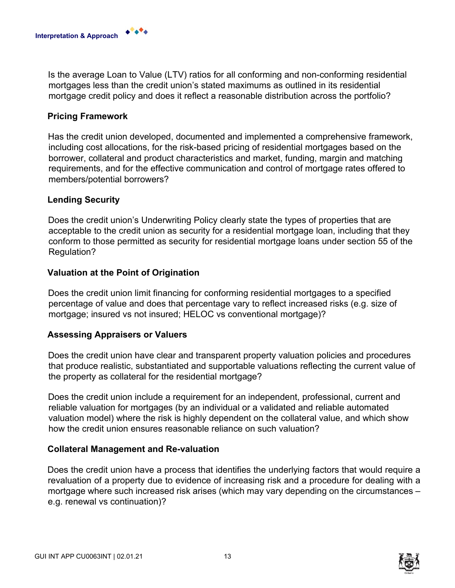

Is the average Loan to Value (LTV) ratios for all conforming and non-conforming residential mortgages less than the credit union's stated maximums as outlined in its residential mortgage credit policy and does it reflect a reasonable distribution across the portfolio?

#### **Pricing Framework**

Has the credit union developed, documented and implemented a comprehensive framework, including cost allocations, for the risk-based pricing of residential mortgages based on the borrower, collateral and product characteristics and market, funding, margin and matching requirements, and for the effective communication and control of mortgage rates offered to members/potential borrowers?

#### **Lending Security**

Does the credit union's Underwriting Policy clearly state the types of properties that are acceptable to the credit union as security for a residential mortgage loan, including that they conform to those permitted as security for residential mortgage loans under section 55 of the Regulation?

#### **Valuation at the Point of Origination**

Does the credit union limit financing for conforming residential mortgages to a specified percentage of value and does that percentage vary to reflect increased risks (e.g. size of mortgage; insured vs not insured; HELOC vs conventional mortgage)?

#### **Assessing Appraisers or Valuers**

Does the credit union have clear and transparent property valuation policies and procedures that produce realistic, substantiated and supportable valuations reflecting the current value of the property as collateral for the residential mortgage?

Does the credit union include a requirement for an independent, professional, current and reliable valuation for mortgages (by an individual or a validated and reliable automated valuation model) where the risk is highly dependent on the collateral value, and which show how the credit union ensures reasonable reliance on such valuation?

#### **Collateral Management and Re-valuation**

Does the credit union have a process that identifies the underlying factors that would require a revaluation of a property due to evidence of increasing risk and a procedure for dealing with a mortgage where such increased risk arises (which may vary depending on the circumstances – e.g. renewal vs continuation)?

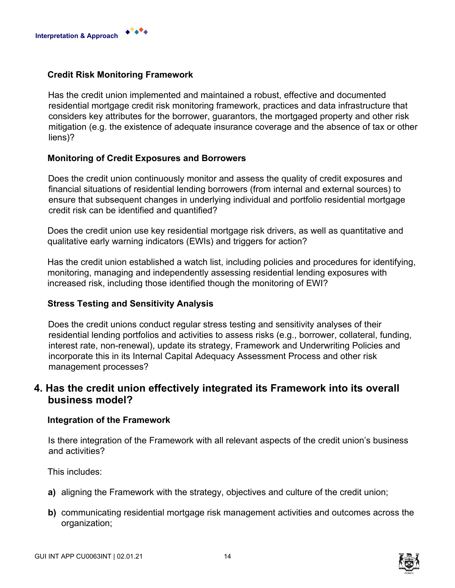

#### **Credit Risk Monitoring Framework**

Has the credit union implemented and maintained a robust, effective and documented residential mortgage credit risk monitoring framework, practices and data infrastructure that considers key attributes for the borrower, guarantors, the mortgaged property and other risk mitigation (e.g. the existence of adequate insurance coverage and the absence of tax or other liens)?

#### **Monitoring of Credit Exposures and Borrowers**

Does the credit union continuously monitor and assess the quality of credit exposures and financial situations of residential lending borrowers (from internal and external sources) to ensure that subsequent changes in underlying individual and portfolio residential mortgage credit risk can be identified and quantified?

Does the credit union use key residential mortgage risk drivers, as well as quantitative and qualitative early warning indicators (EWIs) and triggers for action?

Has the credit union established a watch list, including policies and procedures for identifying, monitoring, managing and independently assessing residential lending exposures with increased risk, including those identified though the monitoring of EWI?

#### **Stress Testing and Sensitivity Analysis**

Does the credit unions conduct regular stress testing and sensitivity analyses of their residential lending portfolios and activities to assess risks (e.g., borrower, collateral, funding, interest rate, non-renewal), update its strategy, Framework and Underwriting Policies and incorporate this in its Internal Capital Adequacy Assessment Process and other risk management processes?

## **4. Has the credit union effectively integrated its Framework into its overall business model?**

#### **Integration of the Framework**

Is there integration of the Framework with all relevant aspects of the credit union's business and activities?

This includes:

- **a)** aligning the Framework with the strategy, objectives and culture of the credit union;
- **b)** communicating residential mortgage risk management activities and outcomes across the organization;